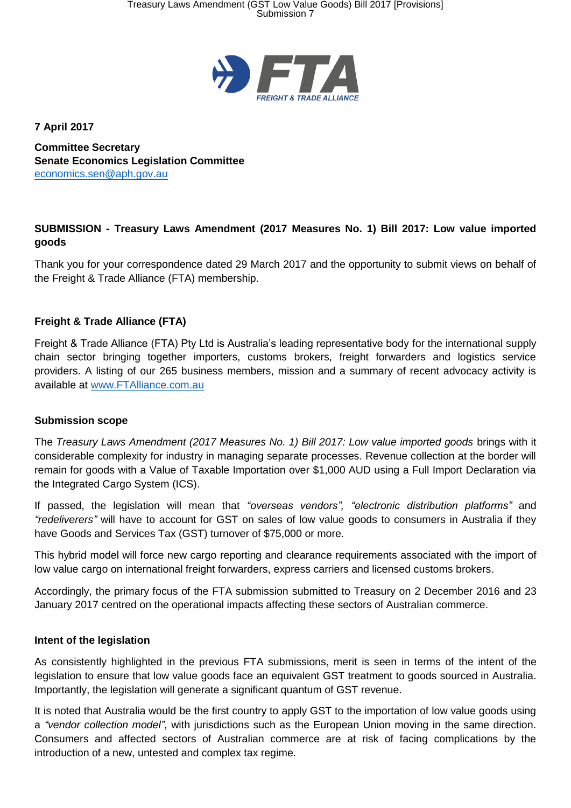

**7 April 2017**

**Committee Secretary Senate Economics Legislation Committee** [economics.sen@aph.gov.au](mailto:economics.sen@aph.gov.au)

# **SUBMISSION - Treasury Laws Amendment (2017 Measures No. 1) Bill 2017: Low value imported goods**

Thank you for your correspondence dated 29 March 2017 and the opportunity to submit views on behalf of the Freight & Trade Alliance (FTA) membership.

## **Freight & Trade Alliance (FTA)**

Freight & Trade Alliance (FTA) Pty Ltd is Australia's leading representative body for the international supply chain sector bringing together importers, customs brokers, freight forwarders and logistics service providers. A listing of our 265 business members, mission and a summary of recent advocacy activity is available at [www.FTAlliance.com.au](http://www.ftalliance.com.au/)

### **Submission scope**

The *Treasury Laws Amendment (2017 Measures No. 1) Bill 2017: Low value imported goods* brings with it considerable complexity for industry in managing separate processes. Revenue collection at the border will remain for goods with a Value of Taxable Importation over \$1,000 AUD using a Full Import Declaration via the Integrated Cargo System (ICS).

If passed, the legislation will mean that *"overseas vendors", "electronic distribution platforms"* and *"redeliverers"* will have to account for GST on sales of low value goods to consumers in Australia if they have Goods and Services Tax (GST) turnover of \$75,000 or more.

This hybrid model will force new cargo reporting and clearance requirements associated with the import of low value cargo on international freight forwarders, express carriers and licensed customs brokers.

Accordingly, the primary focus of the FTA submission submitted to Treasury on 2 December 2016 and 23 January 2017 centred on the operational impacts affecting these sectors of Australian commerce.

### **Intent of the legislation**

As consistently highlighted in the previous FTA submissions, merit is seen in terms of the intent of the legislation to ensure that low value goods face an equivalent GST treatment to goods sourced in Australia. Importantly, the legislation will generate a significant quantum of GST revenue.

It is noted that Australia would be the first country to apply GST to the importation of low value goods using a *"vendor collection model"*, with jurisdictions such as the European Union moving in the same direction. Consumers and affected sectors of Australian commerce are at risk of facing complications by the introduction of a new, untested and complex tax regime.